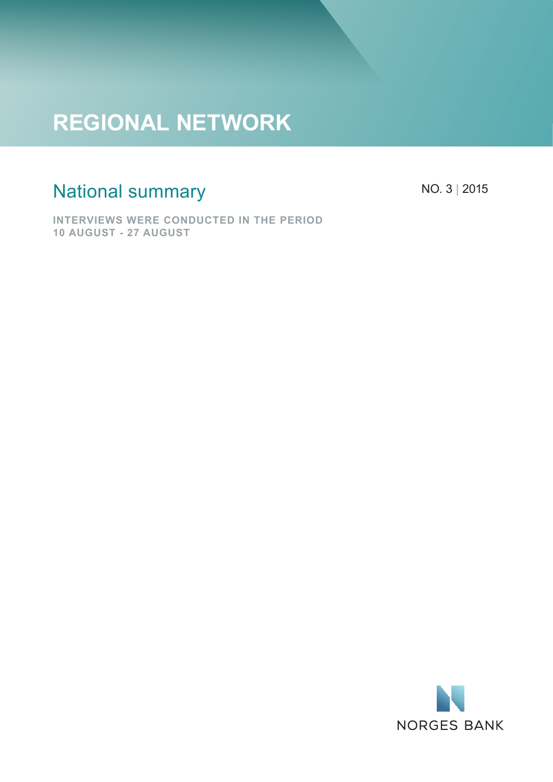# **REGIONAL NETWORK**

## National summary

NO. 3 | 2015

**INTERVIEWS WERE CONDUCTED IN THE PERIOD 10 AUGUST - 27 AUGUST**

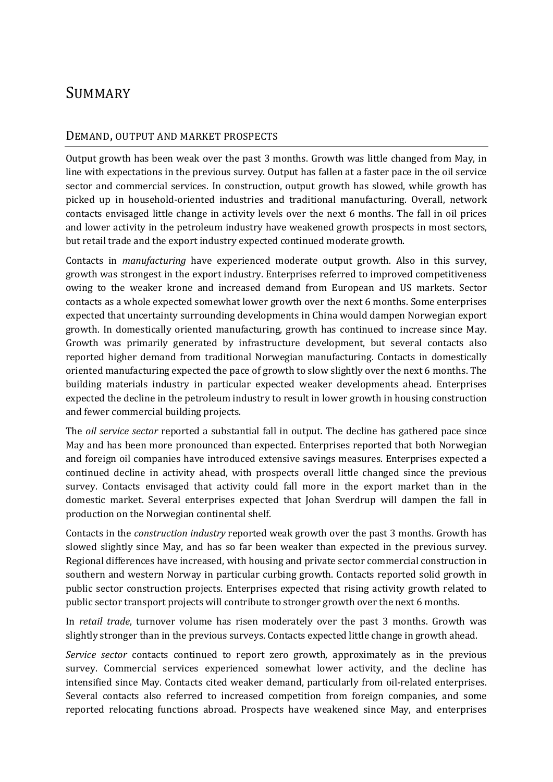### **SUMMARY**

#### DEMAND, OUTPUT AND MARKET PROSPECTS

Output growth has been weak over the past 3 months. Growth was little changed from May, in line with expectations in the previous survey. Output has fallen at a faster pace in the oil service sector and commercial services. In construction, output growth has slowed, while growth has picked up in household-oriented industries and traditional manufacturing. Overall, network contacts envisaged little change in activity levels over the next 6 months. The fall in oil prices and lower activity in the petroleum industry have weakened growth prospects in most sectors, but retail trade and the export industry expected continued moderate growth.

Contacts in *manufacturing* have experienced moderate output growth. Also in this survey, growth was strongest in the export industry. Enterprises referred to improved competitiveness owing to the weaker krone and increased demand from European and US markets. Sector contacts as a whole expected somewhat lower growth over the next 6 months. Some enterprises expected that uncertainty surrounding developments in China would dampen Norwegian export growth. In domestically oriented manufacturing, growth has continued to increase since May. Growth was primarily generated by infrastructure development, but several contacts also reported higher demand from traditional Norwegian manufacturing. Contacts in domestically oriented manufacturing expected the pace of growth to slow slightly over the next 6 months. The building materials industry in particular expected weaker developments ahead. Enterprises expected the decline in the petroleum industry to result in lower growth in housing construction and fewer commercial building projects.

The *oil service sector* reported a substantial fall in output. The decline has gathered pace since May and has been more pronounced than expected. Enterprises reported that both Norwegian and foreign oil companies have introduced extensive savings measures. Enterprises expected a continued decline in activity ahead, with prospects overall little changed since the previous survey. Contacts envisaged that activity could fall more in the export market than in the domestic market. Several enterprises expected that Johan Sverdrup will dampen the fall in production on the Norwegian continental shelf.

Contacts in the *construction industry* reported weak growth over the past 3 months. Growth has slowed slightly since May, and has so far been weaker than expected in the previous survey. Regional differences have increased, with housing and private sector commercial construction in southern and western Norway in particular curbing growth. Contacts reported solid growth in public sector construction projects. Enterprises expected that rising activity growth related to public sector transport projects will contribute to stronger growth over the next 6 months.

In *retail trade*, turnover volume has risen moderately over the past 3 months. Growth was slightly stronger than in the previous surveys. Contacts expected little change in growth ahead.

*Service sector* contacts continued to report zero growth, approximately as in the previous survey. Commercial services experienced somewhat lower activity, and the decline has intensified since May. Contacts cited weaker demand, particularly from oil-related enterprises. Several contacts also referred to increased competition from foreign companies, and some reported relocating functions abroad. Prospects have weakened since May, and enterprises